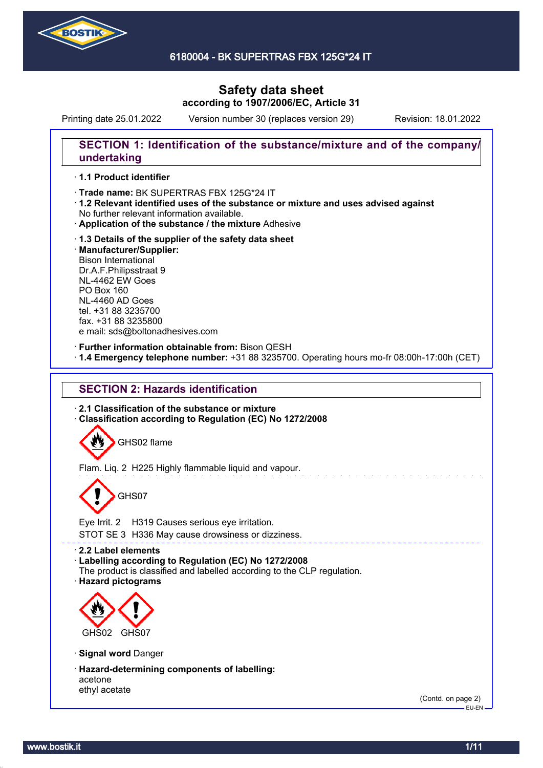

6180004 - BK SUPERTRAS FBX 125G\*24 IT

# **Safety data sheet according to 1907/2006/EC, Article 31**

Printing date 25.01.2022 Version number 30 (replaces version 29) Revision: 18.01.2022

### **SECTION 1: Identification of the substance/mixture and of the company/ undertaking**

### · **1.1 Product identifier**

· Trade name: BK SUPERTRAS FBX 125G\*24 IT

- · **1.2 Relevant identified uses of the substance or mixture and uses advised against** No further relevant information available.
- · **Application of the substance / the mixture** Adhesive
- · **1.3 Details of the supplier of the safety data sheet** · **Manufacturer/Supplier:** Bison International Dr.A.F.Philipsstraat 9 NL-4462 EW Goes PO Box 160 NL-4460 AD Goes tel. +31 88 3235700 fax. +31 88 3235800 e mail: sds@boltonadhesives.com

#### · **Further information obtainable from:** Bison QESH

· **1.4 Emergency telephone number:** +31 88 3235700. Operating hours mo-fr 08:00h-17:00h (CET)

### **SECTION 2: Hazards identification**

· **2.1 Classification of the substance or mixture** · **Classification according to Regulation (EC) No 1272/2008**

GHS02 flame

Flam. Liq. 2 H225 Highly flammable liquid and vapour.

# GHS07

Eye Irrit. 2 H319 Causes serious eye irritation.

STOT SE 3 H336 May cause drowsiness or dizziness.

· **2.2 Label elements**

#### · **Labelling according to Regulation (EC) No 1272/2008**

The product is classified and labelled according to the CLP regulation.

· **Hazard pictograms**



· **Signal word** Danger

· **Hazard-determining components of labelling:** acetone ethyl acetate

(Contd. on page 2) EU-EN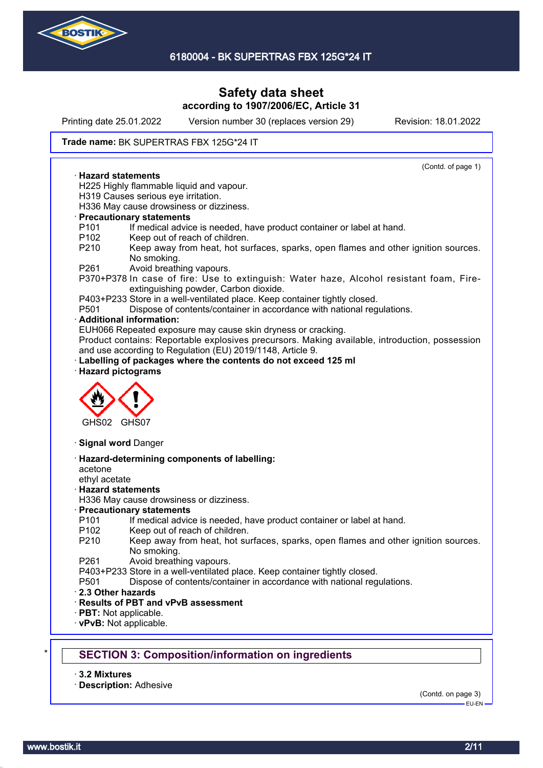

Printing date 25.01.2022 Version number 30 (replaces version 29) Revision: 18.01.2022

#### Trade name: BK SUPERTRAS FBX 125G\*24 IT

(Contd. of page 1) · **Hazard statements** H225 Highly flammable liquid and vapour. H319 Causes serious eye irritation. H336 May cause drowsiness or dizziness. · **Precautionary statements** P101 If medical advice is needed, have product container or label at hand. P102 Keep out of reach of children. P210 Keep away from heat, hot surfaces, sparks, open flames and other ignition sources. No smoking. P261 Avoid breathing vapours. P370+P378 In case of fire: Use to extinguish: Water haze, Alcohol resistant foam, Fireextinguishing powder, Carbon dioxide. P403+P233 Store in a well-ventilated place. Keep container tightly closed. P501 Dispose of contents/container in accordance with national regulations. · **Additional information:** EUH066 Repeated exposure may cause skin dryness or cracking. Product contains: Reportable explosives precursors. Making available, introduction, possession and use according to Regulation (EU) 2019/1148, Article 9. Labelling of packages where the contents do not exceed 125 ml · **Hazard pictograms** GHS02 GHS07 · **Signal word** Danger · **Hazard-determining components of labelling:** acetone ethyl acetate · **Hazard statements** H336 May cause drowsiness or dizziness. · **Precautionary statements** P101 If medical advice is needed, have product container or label at hand. P102 Keep out of reach of children. P210 Keep away from heat, hot surfaces, sparks, open flames and other ignition sources. No smoking. P261 Avoid breathing vapours. P403+P233 Store in a well-ventilated place. Keep container tightly closed. P501 Dispose of contents/container in accordance with national regulations. · **2.3 Other hazards** · **Results of PBT and vPvB assessment** · **PBT:** Not applicable. · **vPvB:** Not applicable. **SECTION 3: Composition/information on ingredients** 

· **3.2 Mixtures**

· **Description:** Adhesive

(Contd. on page 3)

EU-EN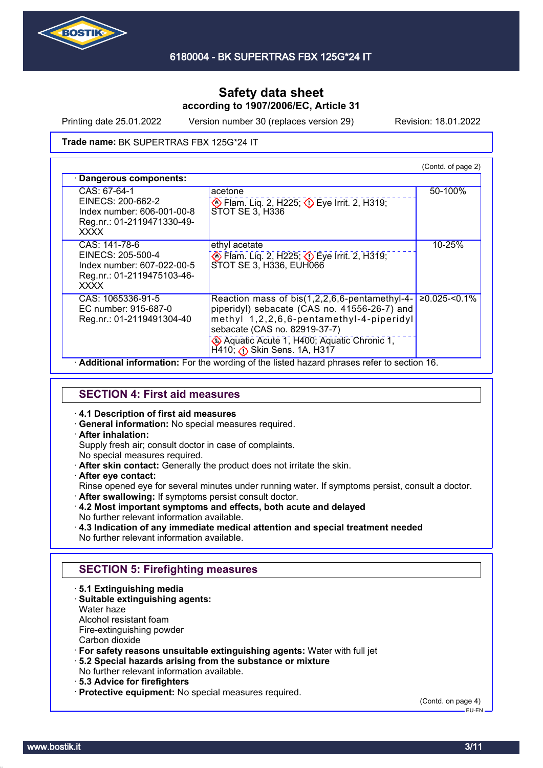

Printing date 25.01.2022 Version number 30 (replaces version 29) Revision: 18.01.2022

Trade name: BK SUPERTRAS FBX 125G\*24 IT

|                                                                                                               |                                                                                                                                                                                    | (Contd. of page 2) |
|---------------------------------------------------------------------------------------------------------------|------------------------------------------------------------------------------------------------------------------------------------------------------------------------------------|--------------------|
| Dangerous components:                                                                                         |                                                                                                                                                                                    |                    |
| CAS: 67-64-1<br>EINECS: 200-662-2<br>Index number: 606-001-00-8<br>Reg.nr.: 01-2119471330-49-<br><b>XXXX</b>  | acetone<br>Eye Irrit. 2, H319; Depe Irrit. 2, H319;<br>STOT SE 3, H336                                                                                                             | 50-100%            |
| CAS: 141-78-6<br>EINECS: 205-500-4<br>Index number: 607-022-00-5<br>Reg.nr.: 01-2119475103-46-<br><b>XXXX</b> | ethyl acetate<br>Eye Irrit. 2, H225; 2> Eye Irrit. 2, H319;<br>STOT SE 3, H336, EUH066                                                                                             | 10-25%             |
| CAS: 1065336-91-5<br>EC number: 915-687-0<br>Reg.nr.: 01-2119491304-40                                        | Reaction mass of bis(1,2,2,6,6-pentamethyl-4-<br>piperidyl) sebacate (CAS no. 41556-26-7) and<br>methyl 1,2,2,6,6-pentamethyl-4-piperidyl<br>sebacate (CAS no. 82919-37-7)         | $≥0.025$ -<0.1%    |
|                                                                                                               | Aquatic Acute 1, H400; Aquatic Chronic 1,<br>$H$ 410; $\bigcirc$ Skin Sens. 1A, H317<br>. Additional information: Ear the wording of the listed begard phrases refer to section 16 |                    |

· **Additional information:** For the wording of the listed hazard phrases refer to section 16.

# **SECTION 4: First aid measures**

#### · **4.1 Description of first aid measures**

· **General information:** No special measures required.

### · **After inhalation:**

Supply fresh air; consult doctor in case of complaints.

- No special measures required.
- · **After skin contact:** Generally the product does not irritate the skin.
- · **After eye contact:**

Rinse opened eye for several minutes under running water. If symptoms persist, consult a doctor.

- · **After swallowing:** If symptoms persist consult doctor.
- · **4.2 Most important symptoms and effects, both acute and delayed** No further relevant information available.
- · **4.3 Indication of any immediate medical attention and special treatment needed** No further relevant information available.

### **SECTION 5: Firefighting measures**

- · **5.1 Extinguishing media**
- · **Suitable extinguishing agents:**
- Water haze

Alcohol resistant foam

Fire-extinguishing powder

Carbon dioxide

· **For safety reasons unsuitable extinguishing agents:** Water with full jet

- · **5.2 Special hazards arising from the substance or mixture**
- No further relevant information available.
- · **5.3 Advice for firefighters**
- · **Protective equipment:** No special measures required.

(Contd. on page 4)

 $-$ FH-FN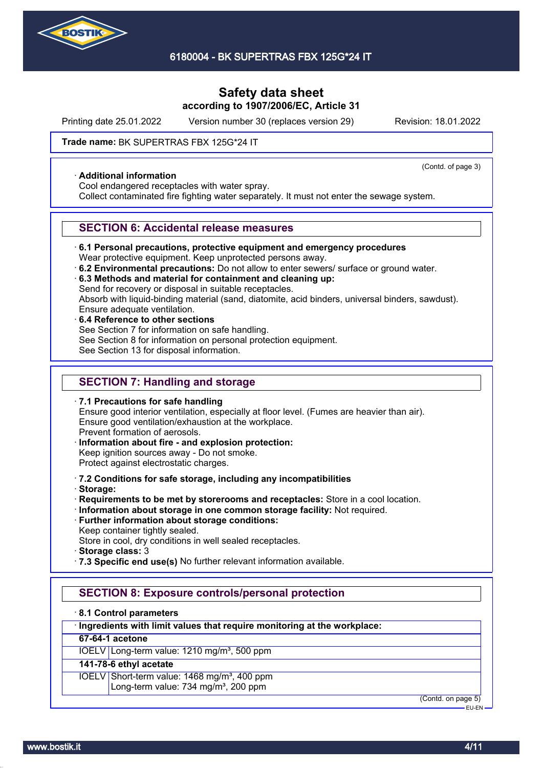

Printing date 25.01.2022 Version number 30 (replaces version 29) Revision: 18.01.2022

(Contd. of page 3)

#### Trade name: BK SUPERTRAS FBX 125G\*24 IT

#### · **Additional information**

Cool endangered receptacles with water spray.

Collect contaminated fire fighting water separately. It must not enter the sewage system.

#### **SECTION 6: Accidental release measures**

· **6.1 Personal precautions, protective equipment and emergency procedures**

Wear protective equipment. Keep unprotected persons away.

- · **6.2 Environmental precautions:** Do not allow to enter sewers/ surface or ground water.
- · **6.3 Methods and material for containment and cleaning up:**

Send for recovery or disposal in suitable receptacles.

Absorb with liquid-binding material (sand, diatomite, acid binders, universal binders, sawdust).

- Ensure adequate ventilation.
- · **6.4 Reference to other sections** See Section 7 for information on safe handling. See Section 8 for information on personal protection equipment. See Section 13 for disposal information.

# **SECTION 7: Handling and storage**

· **7.1 Precautions for safe handling** Ensure good interior ventilation, especially at floor level. (Fumes are heavier than air). Ensure good ventilation/exhaustion at the workplace. Prevent formation of aerosols. · **Information about fire - and explosion protection:**

- Keep ignition sources away Do not smoke. Protect against electrostatic charges.
- · **7.2 Conditions for safe storage, including any incompatibilities**
- · **Storage:**
- · **Requirements to be met by storerooms and receptacles:** Store in a cool location.
- · **Information about storage in one common storage facility:** Not required.
- · **Further information about storage conditions:** Keep container tightly sealed.
- Store in cool, dry conditions in well sealed receptacles.
- · **Storage class:** 3
- · **7.3 Specific end use(s)** No further relevant information available.

### **SECTION 8: Exposure controls/personal protection**

#### · **8.1 Control parameters**

### · **Ingredients with limit values that require monitoring at the workplace:**

### **67-64-1 acetone**

IOELV Long-term value: 1210 mg/m<sup>3</sup>, 500 ppm

# **141-78-6 ethyl acetate**

IOELV Short-term value: 1468 mg/m<sup>3</sup>, 400 ppm Long-term value: 734 mg/m<sup>3</sup>, 200 ppm

(Contd. on page 5)

EU-EN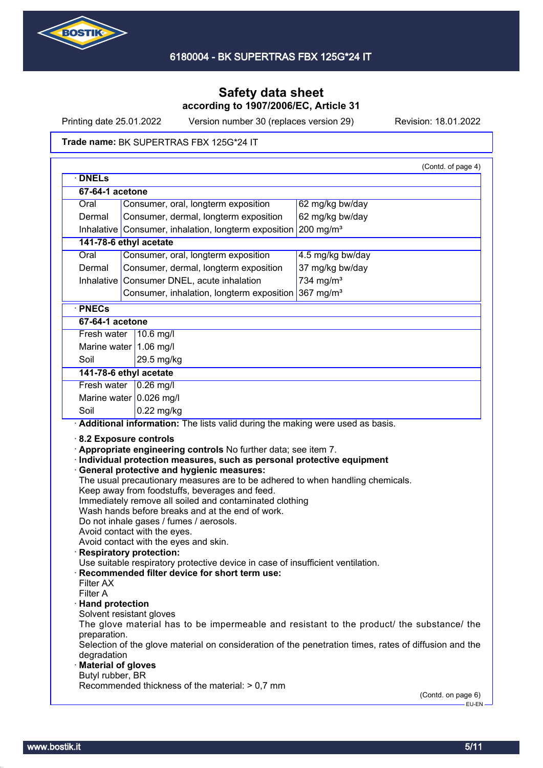

Printing date 25.01.2022 Version number 30 (replaces version 29) Revision: 18.01.2022

#### Trade name: BK SUPERTRAS FBX 125G\*24 IT

| <b>DNELS</b>                                                                                |                                                                                                           |                       |  |
|---------------------------------------------------------------------------------------------|-----------------------------------------------------------------------------------------------------------|-----------------------|--|
| 67-64-1 acetone                                                                             |                                                                                                           |                       |  |
| Oral                                                                                        | Consumer, oral, longterm exposition                                                                       | 62 mg/kg bw/day       |  |
| Dermal                                                                                      | Consumer, dermal, longterm exposition                                                                     | 62 mg/kg bw/day       |  |
| Inhalative                                                                                  | Consumer, inhalation, longterm exposition                                                                 | 200 mg/m <sup>3</sup> |  |
| 141-78-6 ethyl acetate                                                                      |                                                                                                           |                       |  |
| Oral                                                                                        | Consumer, oral, longterm exposition                                                                       | 4.5 mg/kg bw/day      |  |
| Dermal                                                                                      | Consumer, dermal, longterm exposition                                                                     | 37 mg/kg bw/day       |  |
| Inhalative                                                                                  | Consumer DNEL, acute inhalation                                                                           | 734 mg/m <sup>3</sup> |  |
|                                                                                             | Consumer, inhalation, longterm exposition                                                                 | 367 mg/m <sup>3</sup> |  |
| · PNECs                                                                                     |                                                                                                           |                       |  |
| 67-64-1 acetone                                                                             |                                                                                                           |                       |  |
| Fresh water                                                                                 | 10.6 mg/l                                                                                                 |                       |  |
| Marine water 1.06 mg/l                                                                      |                                                                                                           |                       |  |
| Soil                                                                                        | 29.5 mg/kg                                                                                                |                       |  |
| 141-78-6 ethyl acetate                                                                      |                                                                                                           |                       |  |
| Fresh water                                                                                 | $0.26$ mg/                                                                                                |                       |  |
| Marine water $0.026$ mg/l                                                                   |                                                                                                           |                       |  |
| Soil                                                                                        | $0.22$ mg/kg                                                                                              |                       |  |
|                                                                                             |                                                                                                           |                       |  |
|                                                                                             |                                                                                                           |                       |  |
|                                                                                             | Additional information: The lists valid during the making were used as basis.                             |                       |  |
|                                                                                             | Appropriate engineering controls No further data; see item 7.                                             |                       |  |
|                                                                                             | · Individual protection measures, such as personal protective equipment                                   |                       |  |
|                                                                                             | · General protective and hygienic measures:                                                               |                       |  |
|                                                                                             | The usual precautionary measures are to be adhered to when handling chemicals.                            |                       |  |
|                                                                                             | Keep away from foodstuffs, beverages and feed.<br>Immediately remove all soiled and contaminated clothing |                       |  |
|                                                                                             | Wash hands before breaks and at the end of work.                                                          |                       |  |
|                                                                                             | Do not inhale gases / fumes / aerosols.                                                                   |                       |  |
|                                                                                             | Avoid contact with the eyes.                                                                              |                       |  |
|                                                                                             | Avoid contact with the eyes and skin.                                                                     |                       |  |
|                                                                                             | Use suitable respiratory protective device in case of insufficient ventilation.                           |                       |  |
|                                                                                             | Recommended filter device for short term use:                                                             |                       |  |
| Filter AX                                                                                   |                                                                                                           |                       |  |
| Filter A                                                                                    |                                                                                                           |                       |  |
|                                                                                             |                                                                                                           |                       |  |
| Solvent resistant gloves                                                                    |                                                                                                           |                       |  |
| preparation.                                                                                | The glove material has to be impermeable and resistant to the product/ the substance/ the                 |                       |  |
|                                                                                             | Selection of the glove material on consideration of the penetration times, rates of diffusion and the     |                       |  |
| 8.2 Exposure controls<br><b>Respiratory protection:</b><br>· Hand protection<br>degradation |                                                                                                           |                       |  |
| · Material of gloves                                                                        |                                                                                                           |                       |  |
| Butyl rubber, BR                                                                            | Recommended thickness of the material: > 0,7 mm                                                           |                       |  |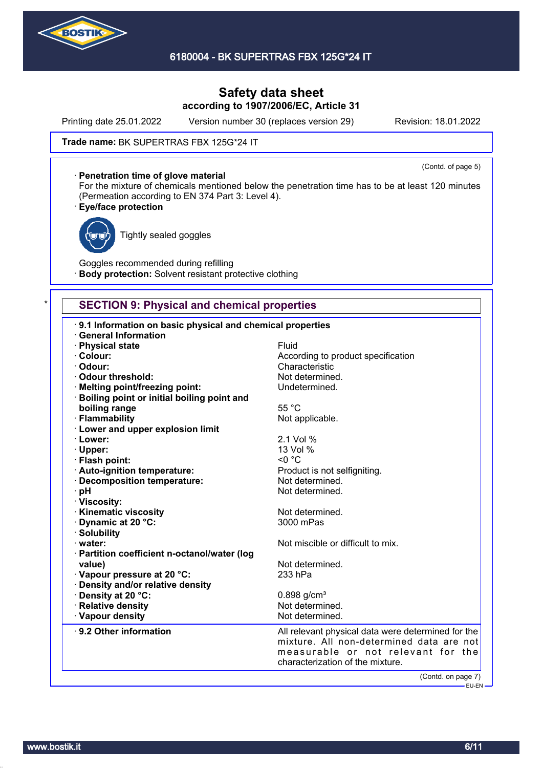

Printing date 25.01.2022 Version number 30 (replaces version 29) Revision: 18.01.2022

(Contd. of page 5)

#### Trade name: BK SUPERTRAS FBX 125G\*24 IT

#### · **Penetration time of glove material**

For the mixture of chemicals mentioned below the penetration time has to be at least 120 minutes (Permeation according to EN 374 Part 3: Level 4).

### · **Eye/face protection**



Tightly sealed goggles

Goggles recommended during refilling **Body protection:** Solvent resistant protective clothing

### **SECTION 9: Physical and chemical properties**

| 9.1 Information on basic physical and chemical properties                       |                                                    |
|---------------------------------------------------------------------------------|----------------------------------------------------|
| <b>General Information</b>                                                      | Fluid                                              |
| · Physical state<br>· Colour:                                                   | According to product specification                 |
| · Odour:                                                                        | Characteristic                                     |
| Odour threshold:                                                                | Not determined.                                    |
|                                                                                 | Undetermined.                                      |
| · Melting point/freezing point:<br>· Boiling point or initial boiling point and |                                                    |
| boiling range                                                                   | 55 °C                                              |
| · Flammability                                                                  | Not applicable.                                    |
| · Lower and upper explosion limit                                               |                                                    |
| · Lower:                                                                        | 2.1 Vol %                                          |
| · Upper:                                                                        | 13 Vol %                                           |
| · Flash point:                                                                  | $< 0$ °C                                           |
| · Auto-ignition temperature:                                                    | Product is not selfigniting.                       |
| · Decomposition temperature:                                                    | Not determined.                                    |
| · pH                                                                            | Not determined.                                    |
| · Viscosity:                                                                    |                                                    |
| · Kinematic viscosity                                                           | Not determined.                                    |
| Dynamic at 20 °C:                                                               | 3000 mPas                                          |
| · Solubility                                                                    |                                                    |
| water:                                                                          | Not miscible or difficult to mix.                  |
| · Partition coefficient n-octanol/water (log                                    |                                                    |
| value)                                                                          | Not determined.                                    |
| Vapour pressure at 20 °C:                                                       | 233 hPa                                            |
| · Density and/or relative density                                               |                                                    |
| · Density at 20 °C:                                                             | $0.898$ g/cm <sup>3</sup>                          |
| · Relative density                                                              | Not determined.                                    |
| · Vapour density                                                                | Not determined.                                    |
| 9.2 Other information                                                           | All relevant physical data were determined for the |
|                                                                                 | mixture. All non-determined data are not           |
|                                                                                 | measurable or not relevant for the                 |
|                                                                                 | characterization of the mixture.                   |
|                                                                                 |                                                    |
|                                                                                 | (Contd. on page 7)<br>————— EU-EN —                |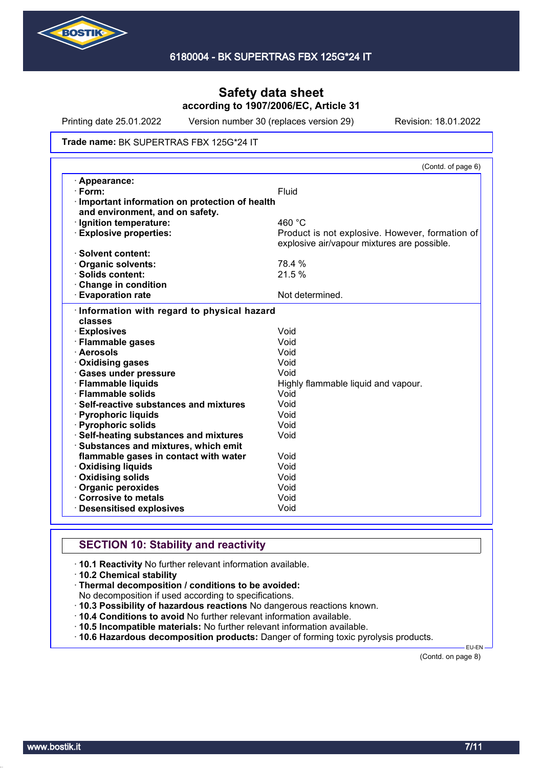

Printing date 25.01.2022 Version number 30 (replaces version 29) Revision: 18.01.2022

#### Trade name: BK SUPERTRAS FBX 125G\*24 IT

|                                               | (Contd. of page 6)                              |
|-----------------------------------------------|-------------------------------------------------|
| · Appearance:                                 |                                                 |
| $\cdot$ Form:                                 | Fluid                                           |
| Important information on protection of health |                                                 |
| and environment, and on safety.               |                                                 |
| · Ignition temperature:                       | 460 °C                                          |
| <b>Explosive properties:</b>                  | Product is not explosive. However, formation of |
|                                               | explosive air/vapour mixtures are possible.     |
| · Solvent content:                            |                                                 |
| <b>Organic solvents:</b>                      | 78.4 %                                          |
| $\cdot$ Solids content:                       | 21.5 %                                          |
| Change in condition                           |                                                 |
| <b>Evaporation rate</b>                       | Not determined.                                 |
| Information with regard to physical hazard    |                                                 |
| classes                                       |                                                 |
| · Explosives                                  | Void                                            |
| · Flammable gases                             | Void                                            |
| · Aerosols                                    | Void                                            |
| · Oxidising gases                             | Void                                            |
| · Gases under pressure                        | Void                                            |
| · Flammable liquids                           | Highly flammable liquid and vapour.             |
| · Flammable solids                            | Void                                            |
| Self-reactive substances and mixtures         | Void                                            |
| · Pyrophoric liquids                          | Void                                            |
| · Pyrophoric solids                           | Void                                            |
| · Self-heating substances and mixtures        | Void                                            |
| · Substances and mixtures, which emit         |                                                 |
| flammable gases in contact with water         | Void                                            |
| <b>Oxidising liquids</b>                      | Void                                            |
| Oxidising solids                              | Void                                            |
| Organic peroxides                             | Void                                            |
| Corrosive to metals                           | Void                                            |
| <b>Desensitised explosives</b>                | Void                                            |

# **SECTION 10: Stability and reactivity**

· **10.1 Reactivity** No further relevant information available.

- · **10.2 Chemical stability**
- · **Thermal decomposition / conditions to be avoided:**

No decomposition if used according to specifications.

- · **10.3 Possibility of hazardous reactions** No dangerous reactions known.
- · **10.4 Conditions to avoid** No further relevant information available.
- · **10.5 Incompatible materials:** No further relevant information available.
- · **10.6 Hazardous decomposition products:** Danger of forming toxic pyrolysis products.

(Contd. on page 8)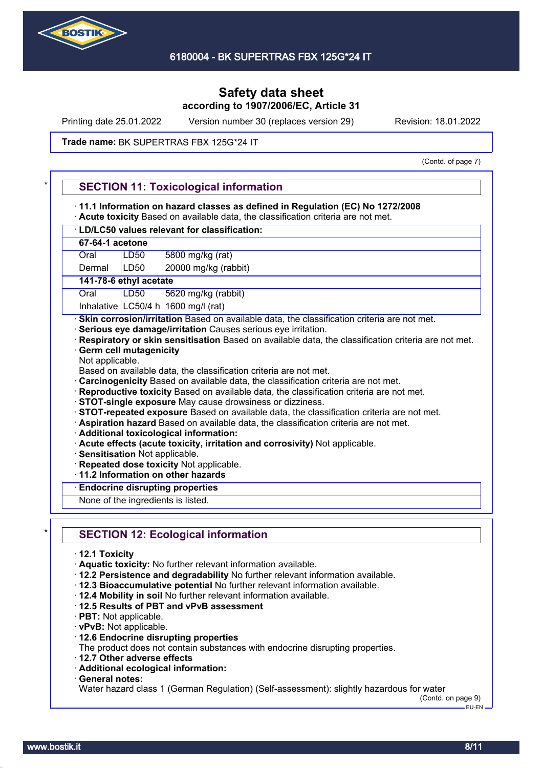

Printing date 25.01.2022 Version number 30 (replaces version 29) Revision: 18.01.2022

#### Trade name: BK SUPERTRAS FBX 125G\*24 IT

(Contd. of page 7)

|                                                 | 11.1 Information on hazard classes as defined in Regulation (EC) No 1272/2008<br>Acute toxicity Based on available data, the classification criteria are not met.                                                                                                                                                                                                                                                                                                                                                                                                                                                                                                                                                                                                                                                                                                                                                                                                            |
|-------------------------------------------------|------------------------------------------------------------------------------------------------------------------------------------------------------------------------------------------------------------------------------------------------------------------------------------------------------------------------------------------------------------------------------------------------------------------------------------------------------------------------------------------------------------------------------------------------------------------------------------------------------------------------------------------------------------------------------------------------------------------------------------------------------------------------------------------------------------------------------------------------------------------------------------------------------------------------------------------------------------------------------|
|                                                 | · LD/LC50 values relevant for classification:                                                                                                                                                                                                                                                                                                                                                                                                                                                                                                                                                                                                                                                                                                                                                                                                                                                                                                                                |
| 67-64-1 acetone                                 |                                                                                                                                                                                                                                                                                                                                                                                                                                                                                                                                                                                                                                                                                                                                                                                                                                                                                                                                                                              |
| Oral                                            | 5800 mg/kg (rat)<br>LD <sub>50</sub>                                                                                                                                                                                                                                                                                                                                                                                                                                                                                                                                                                                                                                                                                                                                                                                                                                                                                                                                         |
| Dermal                                          | 20000 mg/kg (rabbit)<br>LD50                                                                                                                                                                                                                                                                                                                                                                                                                                                                                                                                                                                                                                                                                                                                                                                                                                                                                                                                                 |
|                                                 | 141-78-6 ethyl acetate                                                                                                                                                                                                                                                                                                                                                                                                                                                                                                                                                                                                                                                                                                                                                                                                                                                                                                                                                       |
| Oral                                            | LD50<br>5620 mg/kg (rabbit)                                                                                                                                                                                                                                                                                                                                                                                                                                                                                                                                                                                                                                                                                                                                                                                                                                                                                                                                                  |
|                                                 | Inhalative LC50/4 h 1600 mg/l (rat)                                                                                                                                                                                                                                                                                                                                                                                                                                                                                                                                                                                                                                                                                                                                                                                                                                                                                                                                          |
| Not applicable.                                 | Respiratory or skin sensitisation Based on available data, the classification criteria are not met.<br><b>Germ cell mutagenicity</b><br>Based on available data, the classification criteria are not met.<br>Carcinogenicity Based on available data, the classification criteria are not met.<br>Reproductive toxicity Based on available data, the classification criteria are not met.<br>· STOT-single exposure May cause drowsiness or dizziness.<br>· STOT-repeated exposure Based on available data, the classification criteria are not met.<br>· Aspiration hazard Based on available data, the classification criteria are not met.<br>· Additional toxicological information:<br>· Acute effects (acute toxicity, irritation and corrosivity) Not applicable.<br>· Sensitisation Not applicable.<br>· Repeated dose toxicity Not applicable.<br>11.2 Information on other hazards<br><b>Endocrine disrupting properties</b><br>None of the ingredients is listed. |
|                                                 | <b>SECTION 12: Ecological information</b>                                                                                                                                                                                                                                                                                                                                                                                                                                                                                                                                                                                                                                                                                                                                                                                                                                                                                                                                    |
| $\cdot$ 12.1 Toxicity<br>· PBT: Not applicable. | · Aquatic toxicity: No further relevant information available.<br>. 12.2 Persistence and degradability No further relevant information available.<br>· 12.3 Bioaccumulative potential No further relevant information available.<br>. 12.4 Mobility in soil No further relevant information available.<br>12.5 Results of PBT and vPvB assessment<br>· vPvB: Not applicable.<br>12.6 Endocrine disrupting properties<br>The product does not contain substances with endocrine disrupting properties.<br>12.7 Other adverse effects<br>· Additional ecological information:                                                                                                                                                                                                                                                                                                                                                                                                  |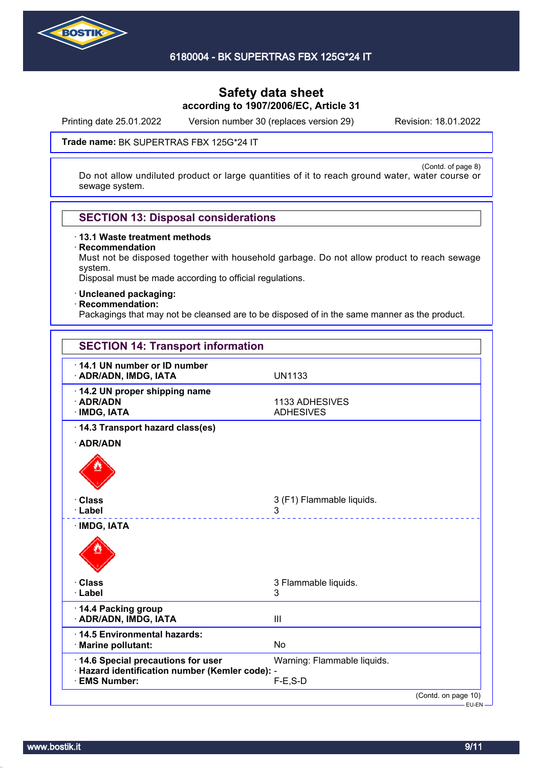

Printing date 25.01.2022 Version number 30 (replaces version 29) Revision: 18.01.2022

(Contd. of page 8)

#### Trade name: BK SUPERTRAS FBX 125G\*24 IT

Do not allow undiluted product or large quantities of it to reach ground water, water course or sewage system.

### **SECTION 13: Disposal considerations**

· **13.1 Waste treatment methods**

· **Recommendation**

Must not be disposed together with household garbage. Do not allow product to reach sewage system.

Disposal must be made according to official regulations.

· **Uncleaned packaging:**

#### · **Recommendation:**

Packagings that may not be cleansed are to be disposed of in the same manner as the product.

| <b>SECTION 14: Transport information</b>                         |                                     |
|------------------------------------------------------------------|-------------------------------------|
| 14.1 UN number or ID number<br>· ADR/ADN, IMDG, IATA             | <b>UN1133</b>                       |
| · 14.2 UN proper shipping name<br>· ADR/ADN<br>· IMDG, IATA      | 1133 ADHESIVES<br><b>ADHESIVES</b>  |
| 14.3 Transport hazard class(es)                                  |                                     |
| · ADR/ADN                                                        |                                     |
|                                                                  |                                     |
| <b>· Class</b>                                                   | 3 (F1) Flammable liquids.           |
| · Label                                                          | 3                                   |
| <b>IMDG, IATA</b>                                                |                                     |
| · Class<br>· Label                                               | 3 Flammable liquids.<br>3           |
| 14.4 Packing group<br>· ADR/ADN, IMDG, IATA                      | III                                 |
| 14.5 Environmental hazards:<br>· Marine pollutant:               | <b>No</b>                           |
| 14.6 Special precautions for user                                | Warning: Flammable liquids.         |
| · Hazard identification number (Kemler code): -<br>· EMS Number: | $F-E$ , $S-D$                       |
|                                                                  | (Contd. on page 10)<br><b>CULCN</b> |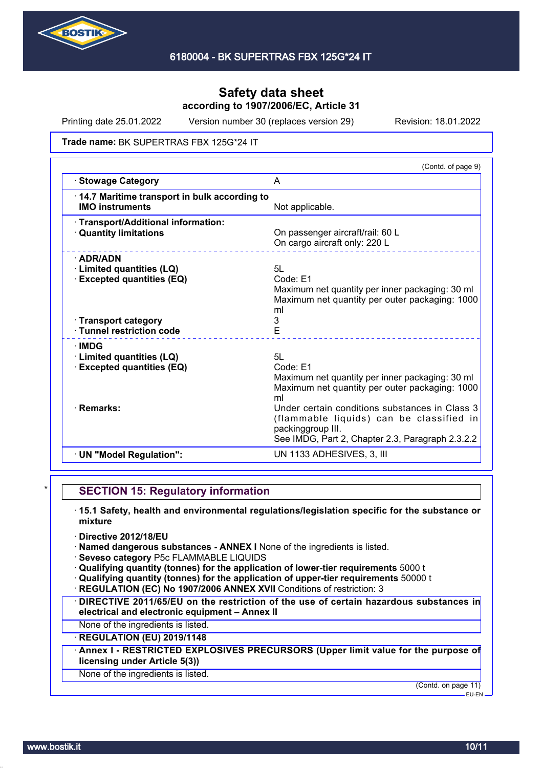

Printing date 25.01.2022 Version number 30 (replaces version 29) Revision: 18.01.2022

#### Trade name: BK SUPERTRAS FBX 125G\*24 IT

|                                                                                                       | (Contd. of page 9)                                                                                                                                                  |
|-------------------------------------------------------------------------------------------------------|---------------------------------------------------------------------------------------------------------------------------------------------------------------------|
| <b>Stowage Category</b>                                                                               | A                                                                                                                                                                   |
| 14.7 Maritime transport in bulk according to<br><b>IMO instruments</b>                                | Not applicable.                                                                                                                                                     |
| · Transport/Additional information:<br><b>Quantity limitations</b>                                    | On passenger aircraft/rail: 60 L<br>On cargo aircraft only: 220 L                                                                                                   |
| $\cdot$ ADR/ADN<br>Limited quantities (LQ)<br><b>Excepted quantities (EQ)</b><br>· Transport category | 5L<br>Code: E1<br>Maximum net quantity per inner packaging: 30 ml<br>Maximum net quantity per outer packaging: 1000<br>ml<br>3<br>E                                 |
| · Tunnel restriction code<br>∙IMDG<br><b>Limited quantities (LQ)</b>                                  | 5L                                                                                                                                                                  |
| <b>Excepted quantities (EQ)</b>                                                                       | Code: F1<br>Maximum net quantity per inner packaging: 30 ml<br>Maximum net quantity per outer packaging: 1000<br>ml                                                 |
| · Remarks:                                                                                            | Under certain conditions substances in Class 3<br>(flammable liquids) can be classified in<br>packinggroup III.<br>See IMDG, Part 2, Chapter 2.3, Paragraph 2.3.2.2 |
| · UN "Model Regulation":                                                                              | UN 1133 ADHESIVES, 3, III                                                                                                                                           |
|                                                                                                       |                                                                                                                                                                     |

### **SECTION 15: Regulatory information**

- · **15.1 Safety, health and environmental regulations/legislation specific for the substance or mixture**
- · **Directive 2012/18/EU**
- · **Named dangerous substances ANNEX I** None of the ingredients is listed.
- · **Seveso category** P5c FLAMMABLE LIQUIDS
- · **Qualifying quantity (tonnes) for the application of lower-tier requirements** 5000 t
- · **Qualifying quantity (tonnes) for the application of upper-tier requirements** 50000 t
- **REGULATION (EC) No 1907/2006 ANNEX XVII Conditions of restriction: 3**
- · **DIRECTIVE 2011/65/EU on the restriction of the use of certain hazardous substances in electrical and electronic equipment – Annex II**
- None of the ingredients is listed.

### · **REGULATION (EU) 2019/1148**

· **Annex I - RESTRICTED EXPLOSIVES PRECURSORS (Upper limit value for the purpose of licensing under Article 5(3))**

#### None of the ingredients is listed.

(Contd. on page 11)